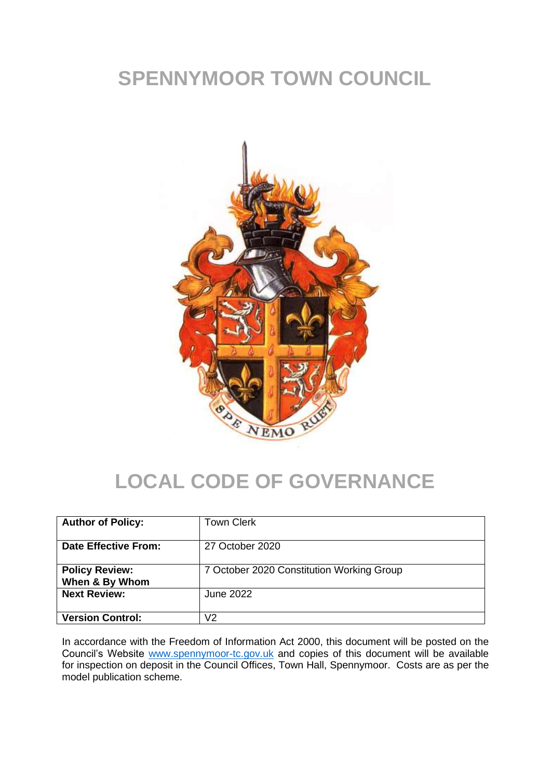# **SPENNYMOOR TOWN COUNCIL**



# **LOCAL CODE OF GOVERNANCE**

| <b>Author of Policy:</b>                | <b>Town Clerk</b>                         |
|-----------------------------------------|-------------------------------------------|
| <b>Date Effective From:</b>             | 27 October 2020                           |
| <b>Policy Review:</b><br>When & By Whom | 7 October 2020 Constitution Working Group |
| <b>Next Review:</b>                     | June 2022                                 |
| <b>Version Control:</b>                 | V2                                        |

In accordance with the Freedom of Information Act 2000, this document will be posted on the Council's Website [www.spennymoor-tc.gov.uk](http://www.spennymoor-tc.gov.uk/) and copies of this document will be available for inspection on deposit in the Council Offices, Town Hall, Spennymoor. Costs are as per the model publication scheme.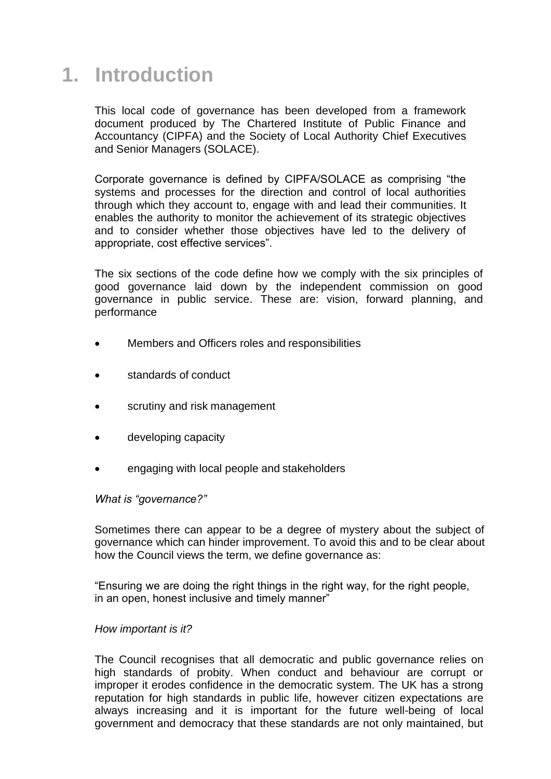#### **1. Introduction**

This local code of governance has been developed from a framework document produced by The Chartered Institute of Public Finance and Accountancy (CIPFA) and the Society of Local Authority Chief Executives and Senior Managers (SOLACE).

Corporate governance is defined by CIPFA/SOLACE as comprising "the systems and processes for the direction and control of local authorities through which they account to, engage with and lead their communities. It enables the authority to monitor the achievement of its strategic objectives and to consider whether those objectives have led to the delivery of appropriate, cost effective services".

The six sections of the code define how we comply with the six principles of good governance laid down by the independent commission on good governance in public service. These are: vision, forward planning, and performance

- Members and Officers roles and responsibilities
- standards of conduct
- scrutiny and risk management
- developing capacity
- engaging with local people and stakeholders

#### *What is "governance?"*

Sometimes there can appear to be a degree of mystery about the subject of governance which can hinder improvement. To avoid this and to be clear about how the Council views the term, we define governance as:

"Ensuring we are doing the right things in the right way, for the right people, in an open, honest inclusive and timely manner"

#### *How important is it?*

The Council recognises that all democratic and public governance relies on high standards of probity. When conduct and behaviour are corrupt or improper it erodes confidence in the democratic system. The UK has a strong reputation for high standards in public life, however citizen expectations are always increasing and it is important for the future well-being of local government and democracy that these standards are not only maintained, but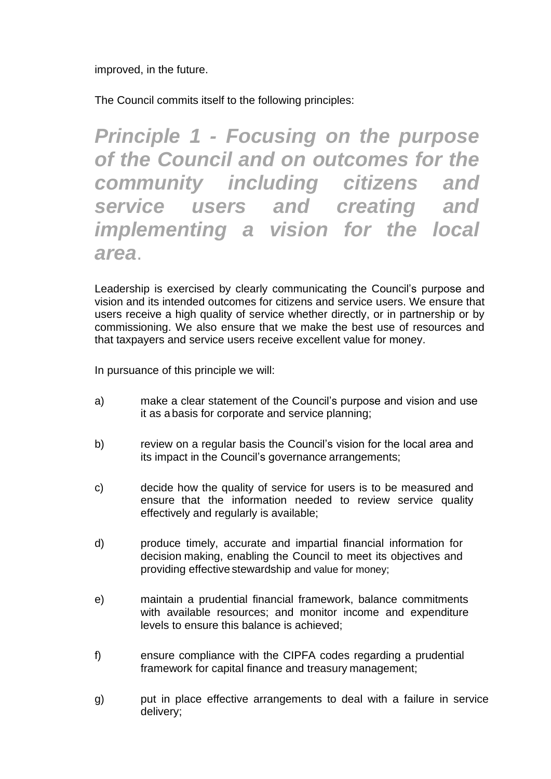improved, in the future.

The Council commits itself to the following principles:

*Principle 1 - Focusing on the purpose of the Council and on outcomes for the community including citizens and service users and creating and implementing a vision for the local area*.

Leadership is exercised by clearly communicating the Council's purpose and vision and its intended outcomes for citizens and service users. We ensure that users receive a high quality of service whether directly, or in partnership or by commissioning. We also ensure that we make the best use of resources and that taxpayers and service users receive excellent value for money.

- a) make a clear statement of the Council's purpose and vision and use it as a basis for corporate and service planning;
- b) review on a regular basis the Council's vision for the local area and its impact in the Council's governance arrangements;
- c) decide how the quality of service for users is to be measured and ensure that the information needed to review service quality effectively and regularly is available;
- d) produce timely, accurate and impartial financial information for decision making, enabling the Council to meet its objectives and providing effective stewardship and value for money;
- e) maintain a prudential financial framework, balance commitments with available resources; and monitor income and expenditure levels to ensure this balance is achieved;
- f) ensure compliance with the CIPFA codes regarding a prudential framework for capital finance and treasury management;
- g) put in place effective arrangements to deal with a failure in service delivery;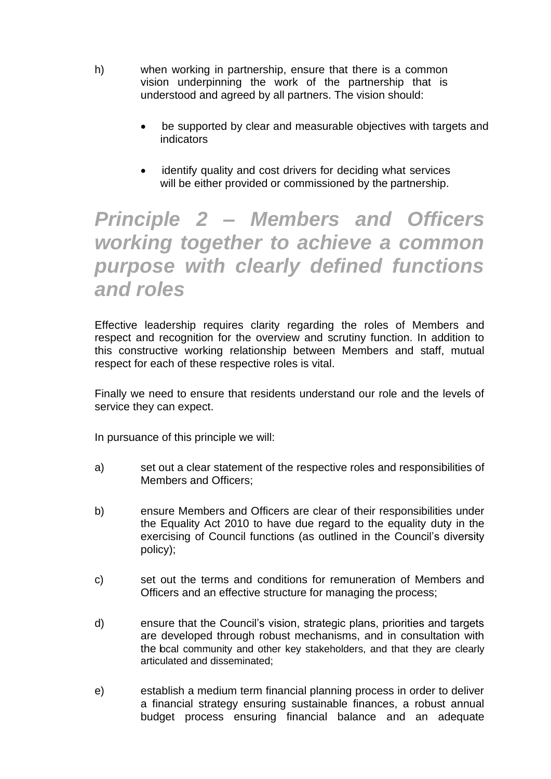- h) when working in partnership, ensure that there is a common vision underpinning the work of the partnership that is understood and agreed by all partners. The vision should:
	- be supported by clear and measurable objectives with targets and indicators
	- identify quality and cost drivers for deciding what services will be either provided or commissioned by the partnership.

## *Principle 2 – Members and Officers working together to achieve a common purpose with clearly defined functions and roles*

Effective leadership requires clarity regarding the roles of Members and respect and recognition for the overview and scrutiny function. In addition to this constructive working relationship between Members and staff, mutual respect for each of these respective roles is vital.

Finally we need to ensure that residents understand our role and the levels of service they can expect.

- a) set out a clear statement of the respective roles and responsibilities of Members and Officers;
- b) ensure Members and Officers are clear of their responsibilities under the Equality Act 2010 to have due regard to the equality duty in the exercising of Council functions (as outlined in the Council's diversity policy);
- c) set out the terms and conditions for remuneration of Members and Officers and an effective structure for managing the process;
- d) ensure that the Council's vision, strategic plans, priorities and targets are developed through robust mechanisms, and in consultation with the bcal community and other key stakeholders, and that they are clearly articulated and disseminated;
- e) establish a medium term financial planning process in order to deliver a financial strategy ensuring sustainable finances, a robust annual budget process ensuring financial balance and an adequate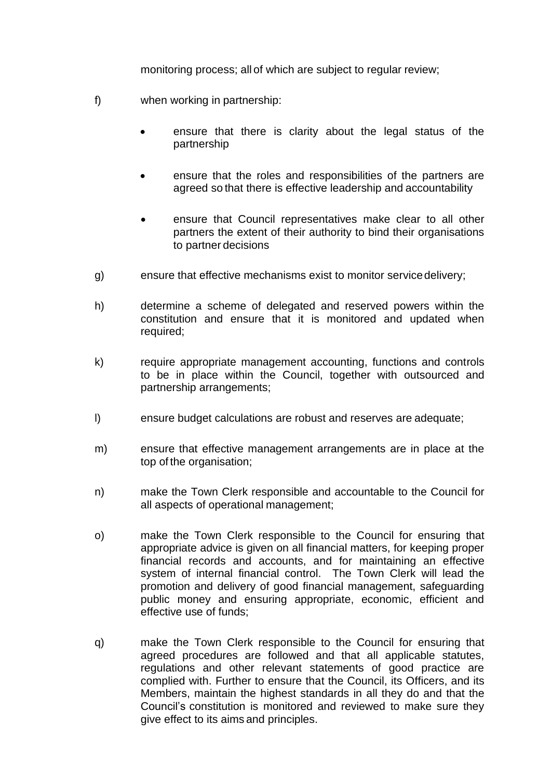monitoring process; all of which are subject to regular review;

- f) when working in partnership:
	- ensure that there is clarity about the legal status of the partnership
	- ensure that the roles and responsibilities of the partners are agreed so that there is effective leadership and accountability
	- ensure that Council representatives make clear to all other partners the extent of their authority to bind their organisations to partner decisions
- g) ensure that effective mechanisms exist to monitor servicedelivery;
- h) determine a scheme of delegated and reserved powers within the constitution and ensure that it is monitored and updated when required;
- k) require appropriate management accounting, functions and controls to be in place within the Council, together with outsourced and partnership arrangements;
- l) ensure budget calculations are robust and reserves are adequate;
- m) ensure that effective management arrangements are in place at the top of the organisation;
- n) make the Town Clerk responsible and accountable to the Council for all aspects of operational management;
- o) make the Town Clerk responsible to the Council for ensuring that appropriate advice is given on all financial matters, for keeping proper financial records and accounts, and for maintaining an effective system of internal financial control. The Town Clerk will lead the promotion and delivery of good financial management, safeguarding public money and ensuring appropriate, economic, efficient and effective use of funds;
- q) make the Town Clerk responsible to the Council for ensuring that agreed procedures are followed and that all applicable statutes, regulations and other relevant statements of good practice are complied with. Further to ensure that the Council, its Officers, and its Members, maintain the highest standards in all they do and that the Council's constitution is monitored and reviewed to make sure they give effect to its aims and principles.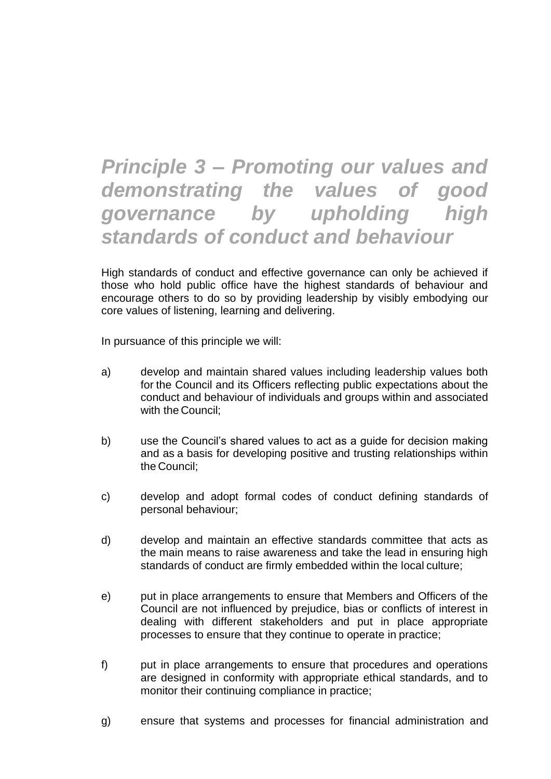## *Principle 3 – Promoting our values and demonstrating the values of good governance by upholding high standards of conduct and behaviour*

High standards of conduct and effective governance can only be achieved if those who hold public office have the highest standards of behaviour and encourage others to do so by providing leadership by visibly embodying our core values of listening, learning and delivering.

- a) develop and maintain shared values including leadership values both for the Council and its Officers reflecting public expectations about the conduct and behaviour of individuals and groups within and associated with the Council;
- b) use the Council's shared values to act as a guide for decision making and as a basis for developing positive and trusting relationships within the Council;
- c) develop and adopt formal codes of conduct defining standards of personal behaviour;
- d) develop and maintain an effective standards committee that acts as the main means to raise awareness and take the lead in ensuring high standards of conduct are firmly embedded within the local culture;
- e) put in place arrangements to ensure that Members and Officers of the Council are not influenced by prejudice, bias or conflicts of interest in dealing with different stakeholders and put in place appropriate processes to ensure that they continue to operate in practice;
- f) put in place arrangements to ensure that procedures and operations are designed in conformity with appropriate ethical standards, and to monitor their continuing compliance in practice;
- g) ensure that systems and processes for financial administration and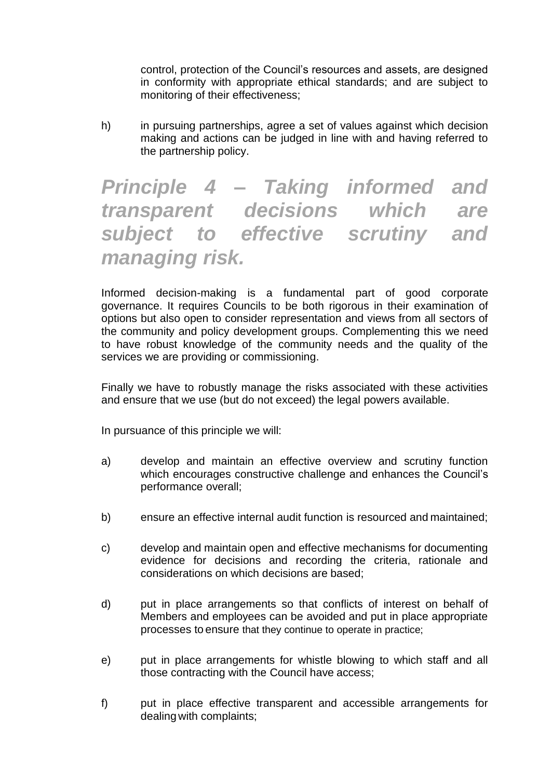control, protection of the Council's resources and assets, are designed in conformity with appropriate ethical standards; and are subject to monitoring of their effectiveness;

h) in pursuing partnerships, agree a set of values against which decision making and actions can be judged in line with and having referred to the partnership policy.

## *Principle 4 – Taking informed and transparent decisions which are subject to effective scrutiny and managing risk.*

Informed decision-making is a fundamental part of good corporate governance. It requires Councils to be both rigorous in their examination of options but also open to consider representation and views from all sectors of the community and policy development groups. Complementing this we need to have robust knowledge of the community needs and the quality of the services we are providing or commissioning.

Finally we have to robustly manage the risks associated with these activities and ensure that we use (but do not exceed) the legal powers available.

- a) develop and maintain an effective overview and scrutiny function which encourages constructive challenge and enhances the Council's performance overall;
- b) ensure an effective internal audit function is resourced and maintained;
- c) develop and maintain open and effective mechanisms for documenting evidence for decisions and recording the criteria, rationale and considerations on which decisions are based;
- d) put in place arrangements so that conflicts of interest on behalf of Members and employees can be avoided and put in place appropriate processes to ensure that they continue to operate in practice;
- e) put in place arrangements for whistle blowing to which staff and all those contracting with the Council have access;
- f) put in place effective transparent and accessible arrangements for dealing with complaints;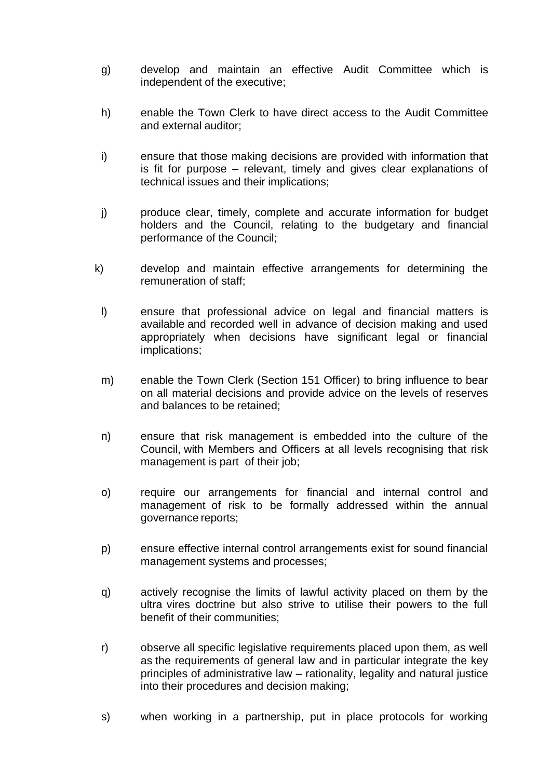- g) develop and maintain an effective Audit Committee which is independent of the executive;
- h) enable the Town Clerk to have direct access to the Audit Committee and external auditor;
- i) ensure that those making decisions are provided with information that is fit for purpose – relevant, timely and gives clear explanations of technical issues and their implications;
- j) produce clear, timely, complete and accurate information for budget holders and the Council, relating to the budgetary and financial performance of the Council;
- k) develop and maintain effective arrangements for determining the remuneration of staff;
- l) ensure that professional advice on legal and financial matters is available and recorded well in advance of decision making and used appropriately when decisions have significant legal or financial implications;
- m) enable the Town Clerk (Section 151 Officer) to bring influence to bear on all material decisions and provide advice on the levels of reserves and balances to be retained;
- n) ensure that risk management is embedded into the culture of the Council, with Members and Officers at all levels recognising that risk management is part of their job;
- o) require our arrangements for financial and internal control and management of risk to be formally addressed within the annual governance reports;
- p) ensure effective internal control arrangements exist for sound financial management systems and processes;
- q) actively recognise the limits of lawful activity placed on them by the ultra vires doctrine but also strive to utilise their powers to the full benefit of their communities;
- r) observe all specific legislative requirements placed upon them, as well as the requirements of general law and in particular integrate the key principles of administrative law – rationality, legality and natural justice into their procedures and decision making;
- s) when working in a partnership, put in place protocols for working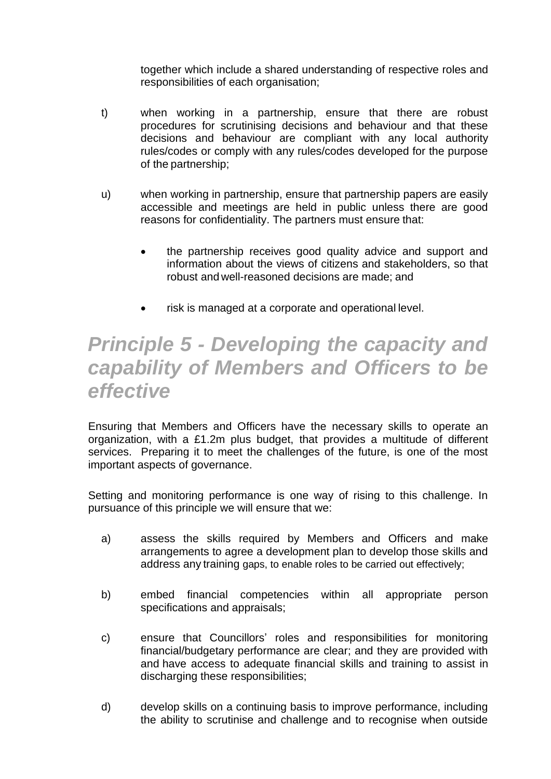together which include a shared understanding of respective roles and responsibilities of each organisation;

- t) when working in a partnership, ensure that there are robust procedures for scrutinising decisions and behaviour and that these decisions and behaviour are compliant with any local authority rules/codes or comply with any rules/codes developed for the purpose of the partnership;
- u) when working in partnership, ensure that partnership papers are easily accessible and meetings are held in public unless there are good reasons for confidentiality. The partners must ensure that:
	- the partnership receives good quality advice and support and information about the views of citizens and stakeholders, so that robust and well-reasoned decisions are made; and
	- risk is managed at a corporate and operational level.

### *Principle 5 - Developing the capacity and capability of Members and Officers to be effective*

Ensuring that Members and Officers have the necessary skills to operate an organization, with a £1.2m plus budget, that provides a multitude of different services. Preparing it to meet the challenges of the future, is one of the most important aspects of governance.

Setting and monitoring performance is one way of rising to this challenge. In pursuance of this principle we will ensure that we:

- a) assess the skills required by Members and Officers and make arrangements to agree a development plan to develop those skills and address any training gaps, to enable roles to be carried out effectively;
- b) embed financial competencies within all appropriate person specifications and appraisals;
- c) ensure that Councillors' roles and responsibilities for monitoring financial/budgetary performance are clear; and they are provided with and have access to adequate financial skills and training to assist in discharging these responsibilities;
- d) develop skills on a continuing basis to improve performance, including the ability to scrutinise and challenge and to recognise when outside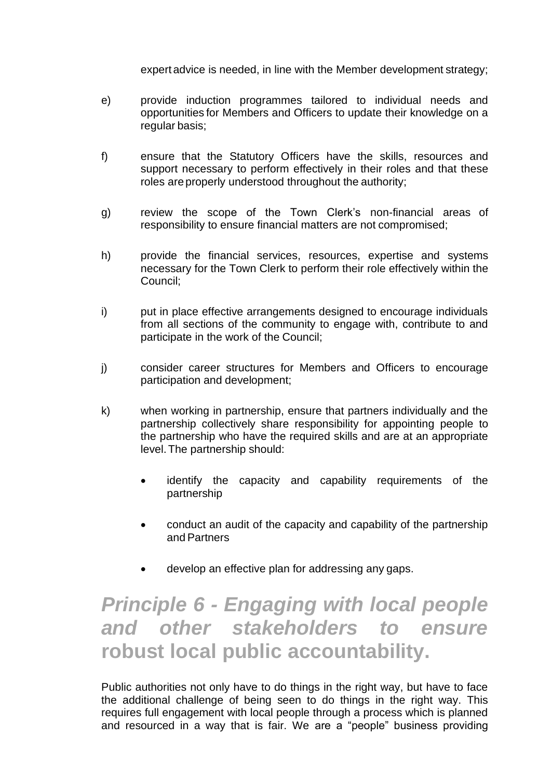expert advice is needed, in line with the Member development strategy;

- e) provide induction programmes tailored to individual needs and opportunities for Members and Officers to update their knowledge on a regular basis;
- f) ensure that the Statutory Officers have the skills, resources and support necessary to perform effectively in their roles and that these roles are properly understood throughout the authority;
- g) review the scope of the Town Clerk's non-financial areas of responsibility to ensure financial matters are not compromised;
- h) provide the financial services, resources, expertise and systems necessary for the Town Clerk to perform their role effectively within the Council;
- i) put in place effective arrangements designed to encourage individuals from all sections of the community to engage with, contribute to and participate in the work of the Council;
- j) consider career structures for Members and Officers to encourage participation and development;
- k) when working in partnership, ensure that partners individually and the partnership collectively share responsibility for appointing people to the partnership who have the required skills and are at an appropriate level.The partnership should:
	- identify the capacity and capability requirements of the partnership
	- conduct an audit of the capacity and capability of the partnership and Partners
	- develop an effective plan for addressing any gaps.

# *Principle 6 - Engaging with local people and other stakeholders to ensure* **robust local public accountability.**

Public authorities not only have to do things in the right way, but have to face the additional challenge of being seen to do things in the right way. This requires full engagement with local people through a process which is planned and resourced in a way that is fair. We are a "people" business providing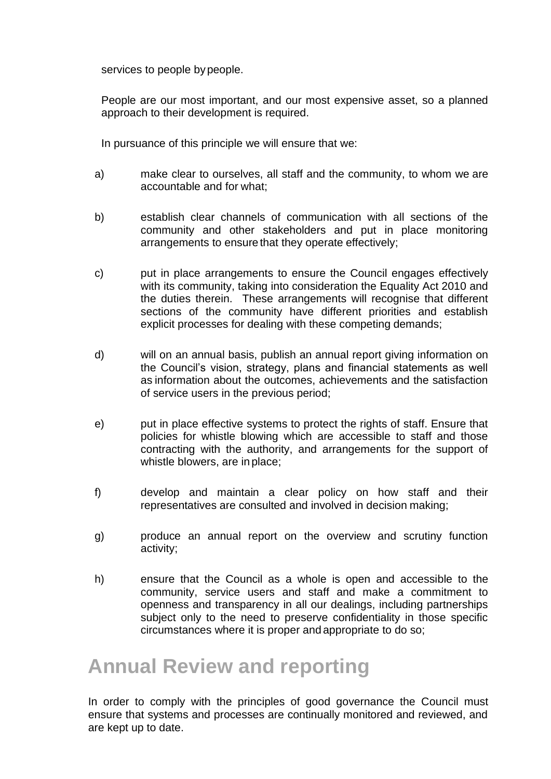services to people bypeople.

People are our most important, and our most expensive asset, so a planned approach to their development is required.

In pursuance of this principle we will ensure that we:

- a) make clear to ourselves, all staff and the community, to whom we are accountable and for what;
- b) establish clear channels of communication with all sections of the community and other stakeholders and put in place monitoring arrangements to ensure that they operate effectively;
- c) put in place arrangements to ensure the Council engages effectively with its community, taking into consideration the Equality Act 2010 and the duties therein. These arrangements will recognise that different sections of the community have different priorities and establish explicit processes for dealing with these competing demands;
- d) will on an annual basis, publish an annual report giving information on the Council's vision, strategy, plans and financial statements as well as information about the outcomes, achievements and the satisfaction of service users in the previous period;
- e) put in place effective systems to protect the rights of staff. Ensure that policies for whistle blowing which are accessible to staff and those contracting with the authority, and arrangements for the support of whistle blowers, are in place;
- f) develop and maintain a clear policy on how staff and their representatives are consulted and involved in decision making;
- g) produce an annual report on the overview and scrutiny function activity;
- h) ensure that the Council as a whole is open and accessible to the community, service users and staff and make a commitment to openness and transparency in all our dealings, including partnerships subject only to the need to preserve confidentiality in those specific circumstances where it is proper and appropriate to do so;

#### **Annual Review and reporting**

In order to comply with the principles of good governance the Council must ensure that systems and processes are continually monitored and reviewed, and are kept up to date.